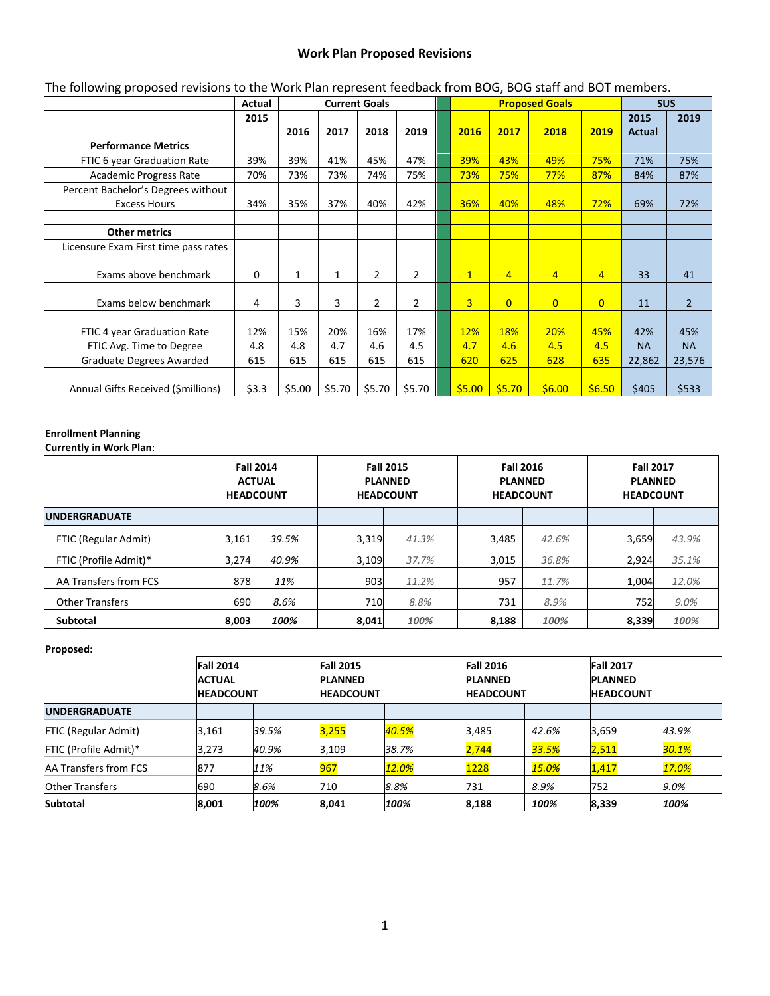## **Work Plan Proposed Revisions**

| The following proposed revisions to the Work Plan represent feedback from BOG, BOG staff and BOT members. |        |                      |        |                |                |                       |                |                |                |                |               |                |
|-----------------------------------------------------------------------------------------------------------|--------|----------------------|--------|----------------|----------------|-----------------------|----------------|----------------|----------------|----------------|---------------|----------------|
|                                                                                                           | Actual | <b>Current Goals</b> |        |                |                | <b>Proposed Goals</b> |                |                |                |                | <b>SUS</b>    |                |
|                                                                                                           | 2015   |                      |        |                |                |                       |                |                |                |                | 2015          | 2019           |
|                                                                                                           |        | 2016                 | 2017   | 2018           | 2019           |                       | 2016           | 2017           | 2018           | 2019           | <b>Actual</b> |                |
| <b>Performance Metrics</b>                                                                                |        |                      |        |                |                |                       |                |                |                |                |               |                |
| FTIC 6 year Graduation Rate                                                                               | 39%    | 39%                  | 41%    | 45%            | 47%            |                       | 39%            | 43%            | 49%            | 75%            | 71%           | 75%            |
| <b>Academic Progress Rate</b>                                                                             | 70%    | 73%                  | 73%    | 74%            | 75%            |                       | 73%            | 75%            | 77%            | 87%            | 84%           | 87%            |
| Percent Bachelor's Degrees without                                                                        |        |                      |        |                |                |                       |                |                |                |                |               |                |
| <b>Excess Hours</b>                                                                                       | 34%    | 35%                  | 37%    | 40%            | 42%            |                       | 36%            | 40%            | 48%            | 72%            | 69%           | 72%            |
|                                                                                                           |        |                      |        |                |                |                       |                |                |                |                |               |                |
| <b>Other metrics</b>                                                                                      |        |                      |        |                |                |                       |                |                |                |                |               |                |
| Licensure Exam First time pass rates                                                                      |        |                      |        |                |                |                       |                |                |                |                |               |                |
|                                                                                                           |        |                      |        |                |                |                       |                |                |                |                |               |                |
| Exams above benchmark                                                                                     | 0      | 1                    | 1      | 2              | $\overline{2}$ |                       | $\mathbf{1}$   | $\overline{4}$ | $\overline{4}$ | $\overline{4}$ | 33            | 41             |
|                                                                                                           |        |                      |        |                |                |                       |                |                |                |                |               |                |
| Exams below benchmark                                                                                     | 4      | 3                    | 3      | $\overline{2}$ | 2              |                       | $\overline{3}$ | $\overline{0}$ | $\overline{0}$ | $\overline{0}$ | 11            | $\overline{2}$ |
|                                                                                                           |        |                      |        |                |                |                       |                |                |                |                |               |                |
| FTIC 4 year Graduation Rate                                                                               | 12%    | 15%                  | 20%    | 16%            | 17%            |                       | 12%            | 18%            | 20%            | 45%            | 42%           | 45%            |
| FTIC Avg. Time to Degree                                                                                  | 4.8    | 4.8                  | 4.7    | 4.6            | 4.5            |                       | 4.7            | 4.6            | 4.5            | 4.5            | <b>NA</b>     | <b>NA</b>      |
| Graduate Degrees Awarded                                                                                  | 615    | 615                  | 615    | 615            | 615            |                       | 620            | 625            | 628            | 635            | 22,862        | 23,576         |
|                                                                                                           |        |                      |        |                |                |                       |                |                |                |                |               |                |
| Annual Gifts Received (\$millions)                                                                        | \$3.3  | \$5.00               | \$5.70 | \$5.70         | \$5.70         |                       | \$5.00         | \$5.70         | \$6.00         | \$6.50         | \$405         | \$533          |

### The following proposed revisions to the Work Plan represent feedback from BOG, BOG staff and BOT members.

# **Enrollment Planning**

**Currently in Work Plan**:

|                        | <b>Fall 2014</b><br><b>ACTUAL</b><br><b>HEADCOUNT</b> |       | <b>Fall 2015</b><br><b>PLANNED</b><br><b>HEADCOUNT</b> |       | <b>Fall 2016</b><br><b>PLANNED</b><br><b>HEADCOUNT</b> |       | <b>Fall 2017</b><br><b>PLANNED</b><br><b>HEADCOUNT</b> |       |
|------------------------|-------------------------------------------------------|-------|--------------------------------------------------------|-------|--------------------------------------------------------|-------|--------------------------------------------------------|-------|
| <b>IUNDERGRADUATE</b>  |                                                       |       |                                                        |       |                                                        |       |                                                        |       |
| FTIC (Regular Admit)   | 3,161                                                 | 39.5% | 3,319                                                  | 41.3% | 3,485                                                  | 42.6% | 3,659                                                  | 43.9% |
| FTIC (Profile Admit)*  | 3,274                                                 | 40.9% | 3,109                                                  | 37.7% | 3,015                                                  | 36.8% | 2,924                                                  | 35.1% |
| AA Transfers from FCS  | 878                                                   | 11%   | 903                                                    | 11.2% | 957                                                    | 11.7% | 1,004                                                  | 12.0% |
| <b>Other Transfers</b> | 690                                                   | 8.6%  | 710                                                    | 8.8%  | 731                                                    | 8.9%  | 752                                                    | 9.0%  |
| <b>Subtotal</b>        | 8,003                                                 | 100%  | 8.041                                                  | 100%  | 8,188                                                  | 100%  | 8,339                                                  | 100%  |

#### **Proposed:**

|                        | <b>Fall 2014</b><br><b>ACTUAL</b><br><b>HEADCOUNT</b> |       | <b>Fall 2015</b><br><b>PLANNED</b><br><b>HEADCOUNT</b> |       | <b>Fall 2016</b><br><b>PLANNED</b><br><b>HEADCOUNT</b> |              | <b>Fall 2017</b><br><b>IPLANNED</b><br><b>HEADCOUNT</b> |       |
|------------------------|-------------------------------------------------------|-------|--------------------------------------------------------|-------|--------------------------------------------------------|--------------|---------------------------------------------------------|-------|
| <b>UNDERGRADUATE</b>   |                                                       |       |                                                        |       |                                                        |              |                                                         |       |
| FTIC (Regular Admit)   | 3,161                                                 | 39.5% | 3,255                                                  | 40.5% | 3,485                                                  | 42.6%        | 3,659                                                   | 43.9% |
| FTIC (Profile Admit)*  | 3,273                                                 | 40.9% | 3,109                                                  | 38.7% | 2,744                                                  | 33.5%        | 2,511                                                   | 30.1% |
| AA Transfers from FCS  | 877                                                   | 11%   | 967                                                    | 12.0% | 1228                                                   | <b>15.0%</b> | 1,417                                                   | 17.0% |
| <b>Other Transfers</b> | 690                                                   | 8.6%  | 710                                                    | 8.8%  | 731                                                    | 8.9%         | 752                                                     | 9.0%  |
| <b>Subtotal</b>        | 8,001                                                 | 100%  | 8,041                                                  | 100%  | 8,188                                                  | 100%         | 8,339                                                   | 100%  |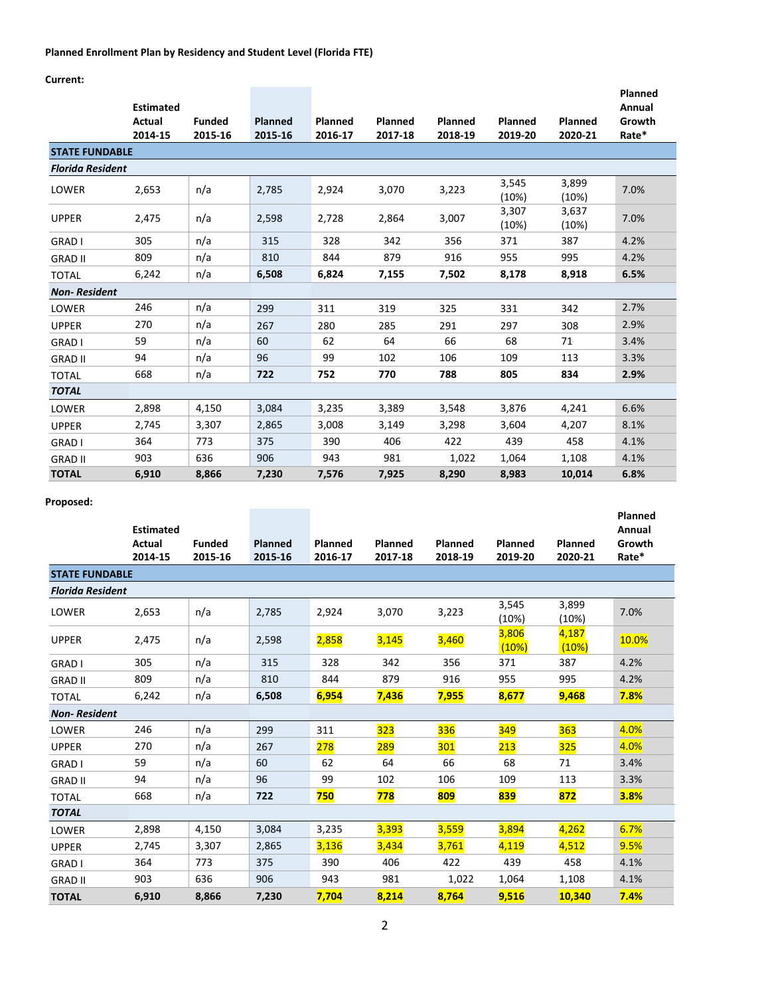## **Planned Enrollment Plan by Residency and Student Level (Florida FTE)**

**Current:**

|                         | <b>Estimated</b><br>Actual | <b>Funded</b> | <b>Planned</b> | Planned | Planned | Planned | Planned        | Planned        | <b>Planned</b><br>Annual<br>Growth |
|-------------------------|----------------------------|---------------|----------------|---------|---------|---------|----------------|----------------|------------------------------------|
|                         | 2014-15                    | 2015-16       | 2015-16        | 2016-17 | 2017-18 | 2018-19 | 2019-20        | 2020-21        | Rate*                              |
| <b>STATE FUNDABLE</b>   |                            |               |                |         |         |         |                |                |                                    |
| <b>Florida Resident</b> |                            |               |                |         |         |         |                |                |                                    |
| LOWER                   | 2,653                      | n/a           | 2,785          | 2,924   | 3,070   | 3,223   | 3,545<br>(10%) | 3,899<br>(10%) | 7.0%                               |
| <b>UPPER</b>            | 2,475                      | n/a           | 2,598          | 2,728   | 2,864   | 3,007   | 3,307<br>(10%) | 3,637<br>(10%) | 7.0%                               |
| GRAD I                  | 305                        | n/a           | 315            | 328     | 342     | 356     | 371            | 387            | 4.2%                               |
| <b>GRAD II</b>          | 809                        | n/a           | 810            | 844     | 879     | 916     | 955            | 995            | 4.2%                               |
| <b>TOTAL</b>            | 6,242                      | n/a           | 6,508          | 6,824   | 7,155   | 7,502   | 8,178          | 8,918          | 6.5%                               |
| <b>Non-Resident</b>     |                            |               |                |         |         |         |                |                |                                    |
| LOWER                   | 246                        | n/a           | 299            | 311     | 319     | 325     | 331            | 342            | 2.7%                               |
| <b>UPPER</b>            | 270                        | n/a           | 267            | 280     | 285     | 291     | 297            | 308            | 2.9%                               |
| <b>GRAD I</b>           | 59                         | n/a           | 60             | 62      | 64      | 66      | 68             | 71             | 3.4%                               |
| <b>GRAD II</b>          | 94                         | n/a           | 96             | 99      | 102     | 106     | 109            | 113            | 3.3%                               |
| <b>TOTAL</b>            | 668                        | n/a           | 722            | 752     | 770     | 788     | 805            | 834            | 2.9%                               |
| <b>TOTAL</b>            |                            |               |                |         |         |         |                |                |                                    |
| LOWER                   | 2,898                      | 4,150         | 3,084          | 3,235   | 3,389   | 3,548   | 3,876          | 4,241          | 6.6%                               |
| <b>UPPER</b>            | 2,745                      | 3,307         | 2,865          | 3,008   | 3,149   | 3,298   | 3,604          | 4,207          | 8.1%                               |
| <b>GRAD I</b>           | 364                        | 773           | 375            | 390     | 406     | 422     | 439            | 458            | 4.1%                               |
| <b>GRAD II</b>          | 903                        | 636           | 906            | 943     | 981     | 1,022   | 1,064          | 1,108          | 4.1%                               |
| <b>TOTAL</b>            | 6,910                      | 8,866         | 7,230          | 7,576   | 7,925   | 8,290   | 8,983          | 10,014         | 6.8%                               |

## **Proposed:**

|                         | <b>Estimated</b>         |                          |                    |                    |                    |                    |                    |                    | Planned<br>Annual |
|-------------------------|--------------------------|--------------------------|--------------------|--------------------|--------------------|--------------------|--------------------|--------------------|-------------------|
|                         | <b>Actual</b><br>2014-15 | <b>Funded</b><br>2015-16 | Planned<br>2015-16 | Planned<br>2016-17 | Planned<br>2017-18 | Planned<br>2018-19 | Planned<br>2019-20 | Planned<br>2020-21 | Growth<br>Rate*   |
| <b>STATE FUNDABLE</b>   |                          |                          |                    |                    |                    |                    |                    |                    |                   |
| <b>Florida Resident</b> |                          |                          |                    |                    |                    |                    |                    |                    |                   |
| LOWER                   | 2,653                    | n/a                      | 2,785              | 2,924              | 3,070              | 3,223              | 3,545<br>(10%)     | 3,899<br>(10%)     | 7.0%              |
| <b>UPPER</b>            | 2,475                    | n/a                      | 2,598              | <b>2,858</b>       | <b>3,145</b>       | 3,460              | 3,806<br>(10%)     | 4,187<br>(10%)     | 10.0%             |
| <b>GRAD I</b>           | 305                      | n/a                      | 315                | 328                | 342                | 356                | 371                | 387                | 4.2%              |
| <b>GRAD II</b>          | 809                      | n/a                      | 810                | 844                | 879                | 916                | 955                | 995                | 4.2%              |
| <b>TOTAL</b>            | 6,242                    | n/a                      | 6,508              | 6,954              | 7,436              | 7,955              | 8,677              | 9,468              | 7.8%              |
| <b>Non-Resident</b>     |                          |                          |                    |                    |                    |                    |                    |                    |                   |
| LOWER                   | 246                      | n/a                      | 299                | 311                | 323                | 336                | 349                | 363                | 4.0%              |
| <b>UPPER</b>            | 270                      | n/a                      | 267                | 278                | 289                | 301                | 213                | 325                | 4.0%              |
| <b>GRAD I</b>           | 59                       | n/a                      | 60                 | 62                 | 64                 | 66                 | 68                 | 71                 | 3.4%              |
| <b>GRAD II</b>          | 94                       | n/a                      | 96                 | 99                 | 102                | 106                | 109                | 113                | 3.3%              |
| <b>TOTAL</b>            | 668                      | n/a                      | 722                | 750                | 778                | 809                | 839                | 872                | 3.8%              |
| <b>TOTAL</b>            |                          |                          |                    |                    |                    |                    |                    |                    |                   |
| LOWER                   | 2,898                    | 4,150                    | 3,084              | 3,235              | 3,393              | <b>3,559</b>       | 3,894              | 4,262              | 6.7%              |
| <b>UPPER</b>            | 2,745                    | 3,307                    | 2,865              | 3,136              | 3,434              | 3,761              | 4,119              | 4,512              | 9.5%              |
| <b>GRAD I</b>           | 364                      | 773                      | 375                | 390                | 406                | 422                | 439                | 458                | 4.1%              |
| <b>GRAD II</b>          | 903                      | 636                      | 906                | 943                | 981                | 1,022              | 1,064              | 1,108              | 4.1%              |
| <b>TOTAL</b>            | 6,910                    | 8,866                    | 7,230              | 7,704              | 8,214              | 8,764              | 9,516              | 10,340             | 7.4%              |